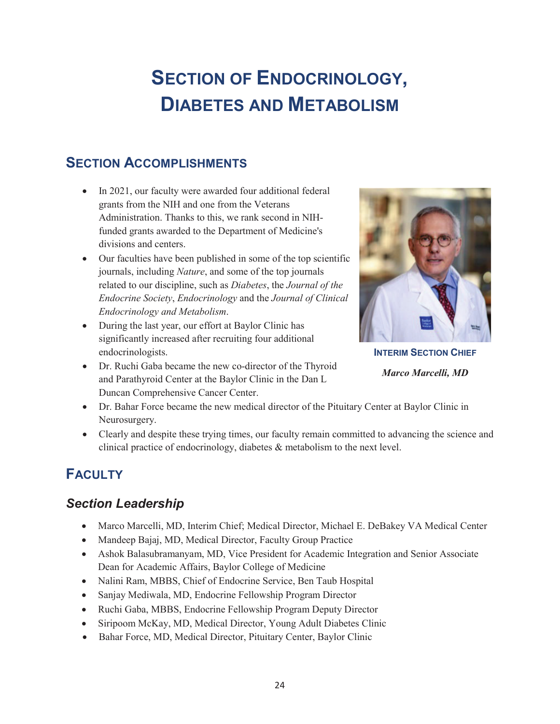# **SECTION OF ENDOCRINOLOGY, DIABETES AND METABOLISM**

# **SECTION ACCOMPLISHMENTS**

- In 2021, our faculty were awarded four additional federal grants from the NIH and one from the Veterans Administration. Thanks to this, we rank second in NIHfunded grants awarded to the Department of Medicine's divisions and centers.
- Our faculties have been published in some of the top scientific journals, including *Nature*, and some of the top journals related to our discipline, such as *Diabetes*, the *Journal of the Endocrine Society*, *Endocrinology* and the *Journal of Clinical Endocrinology and Metabolism*.
- During the last year, our effort at Baylor Clinic has significantly increased after recruiting four additional endocrinologists.
- Dr. Ruchi Gaba became the new co-director of the Thyroid and Parathyroid Center at the Baylor Clinic in the Dan L Duncan Comprehensive Cancer Center.



**INTERIM SECTION CHIEF** *Marco Marcelli, MD*

- Dr. Bahar Force became the new medical director of the Pituitary Center at Baylor Clinic in Neurosurgery.
- Clearly and despite these trying times, our faculty remain committed to advancing the science and clinical practice of endocrinology, diabetes & metabolism to the next level.

# **FACULTY**

## *Section Leadership*

- Marco Marcelli, MD, Interim Chief; Medical Director, Michael E. DeBakey VA Medical Center
- Mandeep Bajaj, MD, Medical Director, Faculty Group Practice
- Ashok Balasubramanyam, MD, Vice President for Academic Integration and Senior Associate Dean for Academic Affairs, Baylor College of Medicine
- Nalini Ram, MBBS, Chief of Endocrine Service, Ben Taub Hospital
- Sanjay Mediwala, MD, Endocrine Fellowship Program Director
- Ruchi Gaba, MBBS, Endocrine Fellowship Program Deputy Director
- Siripoom McKay, MD, Medical Director, Young Adult Diabetes Clinic
- Bahar Force, MD, Medical Director, Pituitary Center, Baylor Clinic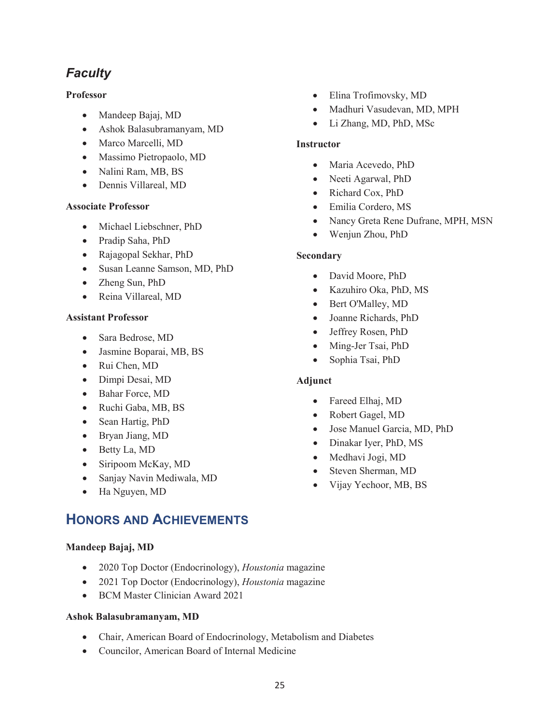# *Faculty*

#### **Professor**

- Mandeep Bajaj, MD
- Ashok Balasubramanyam, MD
- Marco Marcelli, MD
- Massimo Pietropaolo, MD
- Nalini Ram, MB, BS
- Dennis Villareal, MD

#### **Associate Professor**

- Michael Liebschner, PhD
- Pradip Saha, PhD
- Rajagopal Sekhar, PhD
- Susan Leanne Samson, MD, PhD
- Zheng Sun, PhD
- Reina Villareal, MD

#### **Assistant Professor**

- Sara Bedrose, MD
- Jasmine Boparai, MB, BS
- Rui Chen, MD
- Dimpi Desai, MD
- Bahar Force, MD
- · Ruchi Gaba, MB, BS
- Sean Hartig, PhD
- Bryan Jiang, MD
- $\bullet$  Betty La, MD
- Siripoom McKay, MD
- Sanjay Navin Mediwala, MD
- Ha Nguyen, MD

## **HONORS AND ACHIEVEMENTS**

#### **Mandeep Bajaj, MD**

- x 2020 Top Doctor (Endocrinology), *Houstonia* magazine
- 2021 Top Doctor (Endocrinology), *Houstonia* magazine
- BCM Master Clinician Award 2021

#### **Ashok Balasubramanyam, MD**

- Chair, American Board of Endocrinology, Metabolism and Diabetes
- Councilor, American Board of Internal Medicine
- Elina Trofimovsky, MD
- Madhuri Vasudevan, MD, MPH
- Li Zhang, MD, PhD, MSc

#### **Instructor**

- Maria Acevedo, PhD
- Neeti Agarwal, PhD
- Richard Cox, PhD
- $\bullet$  Emilia Cordero, MS
- Nancy Greta Rene Dufrane, MPH, MSN
- Wenjun Zhou, PhD

#### **Secondary**

- David Moore, PhD
- Kazuhiro Oka, PhD, MS
- Bert O'Malley, MD
- Joanne Richards, PhD
- Jeffrey Rosen, PhD
- Ming-Jer Tsai, PhD
- Sophia Tsai, PhD

#### **Adjunct**

- Fareed Elhaj, MD
- Robert Gagel, MD
- Jose Manuel Garcia, MD, PhD
- Dinakar Iyer, PhD, MS
- Medhavi Jogi, MD
- Steven Sherman, MD
- x Vijay Yechoor, MB, BS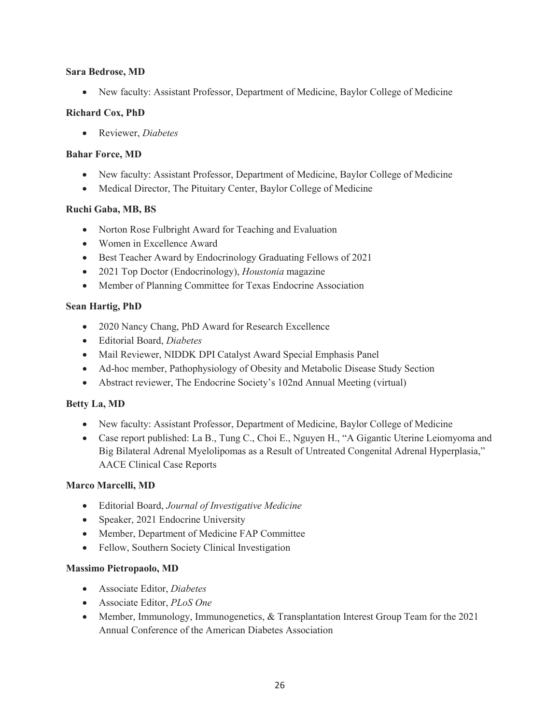#### **Sara Bedrose, MD**

• New faculty: Assistant Professor, Department of Medicine, Baylor College of Medicine

#### **Richard Cox, PhD**

x Reviewer, *Diabetes*

#### **Bahar Force, MD**

- New faculty: Assistant Professor, Department of Medicine, Baylor College of Medicine
- Medical Director, The Pituitary Center, Baylor College of Medicine

#### **Ruchi Gaba, MB, BS**

- Norton Rose Fulbright Award for Teaching and Evaluation
- Women in Excellence Award
- Best Teacher Award by Endocrinology Graduating Fellows of 2021
- 2021 Top Doctor (Endocrinology), *Houstonia* magazine
- Member of Planning Committee for Texas Endocrine Association

#### **Sean Hartig, PhD**

- 2020 Nancy Chang, PhD Award for Research Excellence
- x Editorial Board, *Diabetes*
- Mail Reviewer, NIDDK DPI Catalyst Award Special Emphasis Panel
- Ad-hoc member, Pathophysiology of Obesity and Metabolic Disease Study Section
- Abstract reviewer, The Endocrine Society's 102nd Annual Meeting (virtual)

#### **Betty La, MD**

- New faculty: Assistant Professor, Department of Medicine, Baylor College of Medicine
- Case report published: La B., Tung C., Choi E., Nguyen H., "A Gigantic Uterine Leiomyoma and Big Bilateral Adrenal Myelolipomas as a Result of Untreated Congenital Adrenal Hyperplasia," AACE Clinical Case Reports

#### **Marco Marcelli, MD**

- x Editorial Board, *Journal of Investigative Medicine*
- Speaker, 2021 Endocrine University
- Member, Department of Medicine FAP Committee
- Fellow, Southern Society Clinical Investigation

#### **Massimo Pietropaolo, MD**

- x Associate Editor, *Diabetes*
- x Associate Editor, *PLoS One*
- Member, Immunology, Immunogenetics,  $&$  Transplantation Interest Group Team for the 2021 Annual Conference of the American Diabetes Association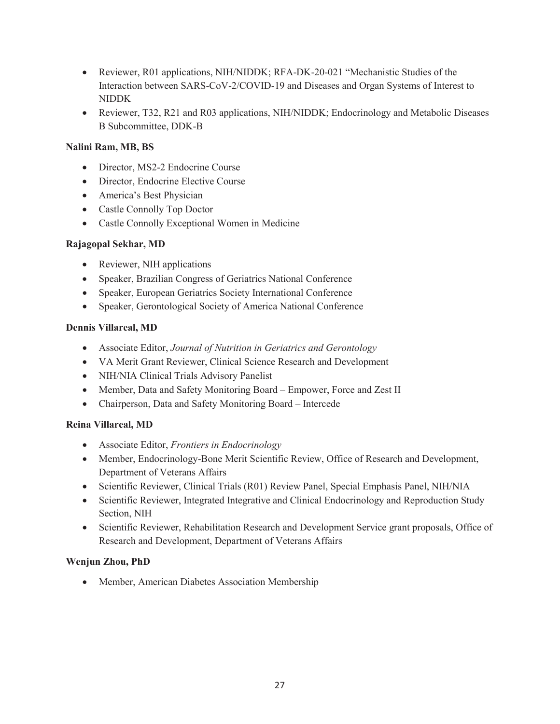- Reviewer, R01 applications, NIH/NIDDK; RFA-DK-20-021 "Mechanistic Studies of the Interaction between SARS-CoV-2/COVID-19 and Diseases and Organ Systems of Interest to NIDDK
- Reviewer, T32, R21 and R03 applications, NIH/NIDDK; Endocrinology and Metabolic Diseases B Subcommittee, DDK-B

#### **Nalini Ram, MB, BS**

- Director, MS2-2 Endocrine Course
- Director, Endocrine Elective Course
- America's Best Physician
- Castle Connolly Top Doctor
- Castle Connolly Exceptional Women in Medicine

#### **Rajagopal Sekhar, MD**

- Reviewer, NIH applications
- Speaker, Brazilian Congress of Geriatrics National Conference
- Speaker, European Geriatrics Society International Conference
- Speaker, Gerontological Society of America National Conference

#### **Dennis Villareal, MD**

- x Associate Editor, *Journal of Nutrition in Geriatrics and Gerontology*
- VA Merit Grant Reviewer, Clinical Science Research and Development
- NIH/NIA Clinical Trials Advisory Panelist
- Member, Data and Safety Monitoring Board Empower, Force and Zest II
- Chairperson, Data and Safety Monitoring Board Intercede

#### **Reina Villareal, MD**

- x Associate Editor, *Frontiers in Endocrinology*
- Member, Endocrinology-Bone Merit Scientific Review, Office of Research and Development, Department of Veterans Affairs
- Scientific Reviewer, Clinical Trials (R01) Review Panel, Special Emphasis Panel, NIH/NIA
- Scientific Reviewer, Integrated Integrative and Clinical Endocrinology and Reproduction Study Section, NIH
- Scientific Reviewer, Rehabilitation Research and Development Service grant proposals, Office of Research and Development, Department of Veterans Affairs

#### **Wenjun Zhou, PhD**

• Member, American Diabetes Association Membership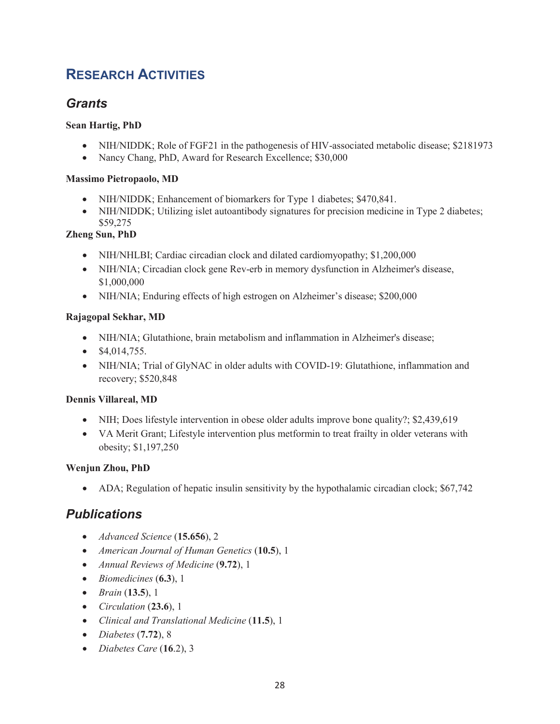# **RESEARCH ACTIVITIES**

### *Grants*

#### **Sean Hartig, PhD**

- NIH/NIDDK; Role of FGF21 in the pathogenesis of HIV-associated metabolic disease; \$2181973
- Nancy Chang, PhD, Award for Research Excellence; \$30,000

#### **Massimo Pietropaolo, MD**

- NIH/NIDDK; Enhancement of biomarkers for Type 1 diabetes; \$470,841.
- NIH/NIDDK; Utilizing islet autoantibody signatures for precision medicine in Type 2 diabetes; \$59,275

#### **Zheng Sun, PhD**

- NIH/NHLBI; Cardiac circadian clock and dilated cardiomyopathy; \$1,200,000
- NIH/NIA; Circadian clock gene Rev-erb in memory dysfunction in Alzheimer's disease, \$1,000,000
- NIH/NIA; Enduring effects of high estrogen on Alzheimer's disease; \$200,000

#### **Rajagopal Sekhar, MD**

- NIH/NIA; Glutathione, brain metabolism and inflammation in Alzheimer's disease;
- $\bullet$  \$4,014,755.
- NIH/NIA; Trial of GlyNAC in older adults with COVID-19: Glutathione, inflammation and recovery; \$520,848

#### **Dennis Villareal, MD**

- NIH; Does lifestyle intervention in obese older adults improve bone quality?; \$2,439,619
- VA Merit Grant; Lifestyle intervention plus metformin to treat frailty in older veterans with obesity; \$1,197,250

#### **Wenjun Zhou, PhD**

• ADA; Regulation of hepatic insulin sensitivity by the hypothalamic circadian clock;  $$67,742$ 

### *Publications*

- x *Advanced Science* (**15.656**), 2
- x *American Journal of Human Genetics* (**10.5**), 1
- x *Annual Reviews of Medicine* (**9.72**), 1
- x *Biomedicines* (**6.3**), 1
- x *Brain* (**13.5**), 1
- x *Circulation* (**23.6**), 1
- x *Clinical and Translational Medicine* (**11.5**), 1
- x *Diabetes* (**7.72**), 8
- x *Diabetes Care* (**16**.2), 3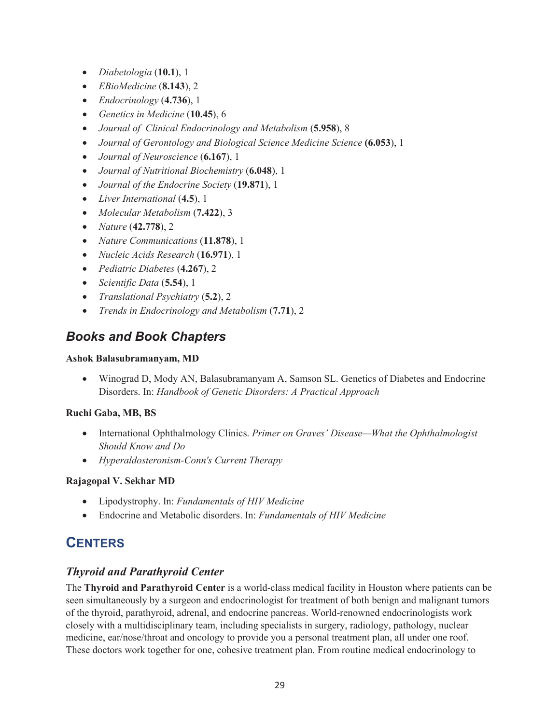- x *Diabetologia* (**10.1**), 1
- x *EBioMedicine* (**8.143**), 2
- x *Endocrinology* (**4.736**), 1
- x *Genetics in Medicine* (**10.45**), 6
- x *Journal of Clinical Endocrinology and Metabolism* (**5.958**), 8
- x *Journal of Gerontology and Biological Science Medicine Science* **(6.053**), 1
- x *Journal of Neuroscience* (**6.167**), 1
- x *Journal of Nutritional Biochemistry* (**6.048**), 1
- x *Journal of the Endocrine Society* (**19.871**), 1
- x *Liver International* (**4.5**), 1
- x *Molecular Metabolism* (**7.422**), 3
- x *Nature* (**42.778**), 2
- x *Nature Communications* (**11.878**), 1
- x *Nucleic Acids Research* (**16.971**), 1
- x *Pediatric Diabetes* (**4.267**), 2
- x *Scientific Data* (**5.54**), 1
- x *Translational Psychiatry* (**5.2**), 2
- x *Trends in Endocrinology and Metabolism* (**7.71**), 2

### *Books and Book Chapters*

#### **Ashok Balasubramanyam, MD**

• Winograd D, Mody AN, Balasubramanyam A, Samson SL. Genetics of Diabetes and Endocrine Disorders. In: *Handbook of Genetic Disorders: A Practical Approach*

#### **Ruchi Gaba, MB, BS**

- International Ophthalmology Clinics. *Primer on Graves' Disease—What the Ophthalmologist Should Know and Do*
- x *Hyperaldosteronism-Conn's Current Therapy*

#### **Rajagopal V. Sekhar MD**

- x Lipodystrophy. In: *Fundamentals of HIV Medicine*
- x Endocrine and Metabolic disorders. In: *Fundamentals of HIV Medicine*

# **CENTERS**

#### *Thyroid and Parathyroid Center*

The **Thyroid and Parathyroid Center** is a world-class medical facility in Houston where patients can be seen simultaneously by a surgeon and endocrinologist for treatment of both benign and malignant tumors of the thyroid, parathyroid, adrenal, and endocrine pancreas. World-renowned endocrinologists work closely with a multidisciplinary team, including specialists in surgery, radiology, pathology, nuclear medicine, ear/nose/throat and oncology to provide you a personal treatment plan, all under one roof. These doctors work together for one, cohesive treatment plan. From routine medical endocrinology to